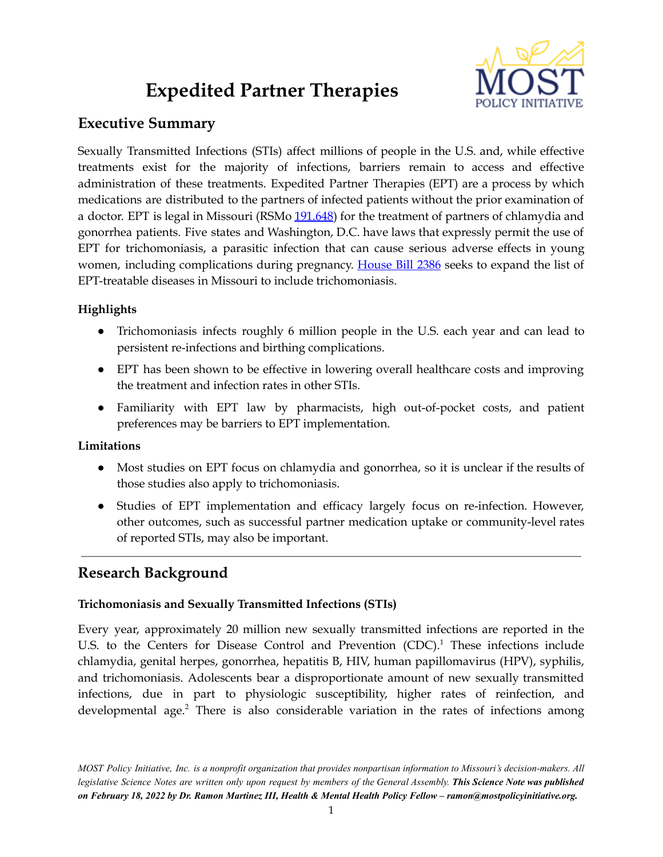# **Expedited Partner Therapies**



## **Executive Summary**

Sexually Transmitted Infections (STIs) affect millions of people in the U.S. and, while effective treatments exist for the majority of infections, barriers remain to access and effective administration of these treatments. Expedited Partner Therapies (EPT) are a process by which medications are distributed to the partners of infected patients without the prior examination of a doctor. EPT is legal in Missouri (RSMo [191.648\)](https://revisor.mo.gov/main/OneSection.aspx?section=191.648#:~:text=191.648.,for%20physicians%20utilizing%20%E2%80%94%20rulemaking%20authority.&text=Any%20licensed%20physician%20may%2C%20but,persons%20with%20chlamydia%20or%20gonorrhea.) for the treatment of partners of chlamydia and gonorrhea patients. Five states and Washington, D.C. have laws that expressly permit the use of EPT for trichomoniasis, a parasitic infection that can cause serious adverse effects in young women, including complications during pregnancy. [House](https://house.mo.gov/Bill.aspx?bill=HB2386&year=2022&code=R) Bill 2386 seeks to expand the list of EPT-treatable diseases in Missouri to include trichomoniasis.

### **Highlights**

- Trichomoniasis infects roughly 6 million people in the U.S. each year and can lead to persistent re-infections and birthing complications.
- EPT has been shown to be effective in lowering overall healthcare costs and improving the treatment and infection rates in other STIs.
- Familiarity with EPT law by pharmacists, high out-of-pocket costs, and patient preferences may be barriers to EPT implementation.

### **Limitations**

- Most studies on EPT focus on chlamydia and gonorrhea, so it is unclear if the results of those studies also apply to trichomoniasis.
- Studies of EPT implementation and efficacy largely focus on re-infection. However, other outcomes, such as successful partner medication uptake or community-level rates of reported STIs, may also be important.

# **Research Background**

### **Trichomoniasis and Sexually Transmitted Infections (STIs)**

Every year, approximately 20 million new sexually transmitted infections are reported in the U.S. to the Centers for Disease Control and Prevention (CDC).<sup>1</sup> These infections include chlamydia, genital herpes, gonorrhea, hepatitis B, HIV, human papillomavirus (HPV), syphilis, and trichomoniasis. Adolescents bear a disproportionate amount of new sexually transmitted infections, due in part to physiologic susceptibility, higher rates of reinfection, and developmental age. <sup>2</sup> There is also considerable variation in the rates of infections among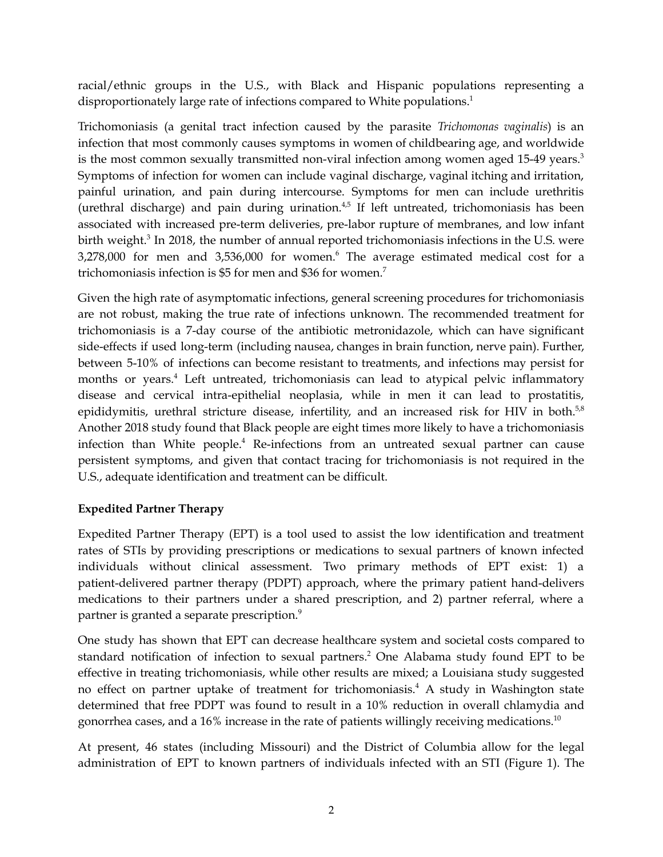racial/ethnic groups in the U.S., with Black and Hispanic populations representing a disproportionately large rate of infections compared to White populations. 1

Trichomoniasis (a genital tract infection caused by the parasite *Trichomonas vaginalis*) is an infection that most commonly causes symptoms in women of childbearing age, and worldwide is the most common sexually transmitted non-viral infection among women aged 15-49 years. 3 Symptoms of infection for women can include vaginal discharge, vaginal itching and irritation, painful urination, and pain during intercourse. Symptoms for men can include urethritis (urethral discharge) and pain during urination. $4,5$  If left untreated, trichomoniasis has been associated with increased pre-term deliveries, pre-labor rupture of membranes, and low infant birth weight.<sup>3</sup> In 2018, the number of annual reported trichomoniasis infections in the U.S. were 3,278,000 for men and 3,536,000 for women. <sup>6</sup> The average estimated medical cost for a trichomoniasis infection is \$5 for men and \$36 for women. 7

Given the high rate of asymptomatic infections, general screening procedures for trichomoniasis are not robust, making the true rate of infections unknown. The recommended treatment for trichomoniasis is a 7-day course of the antibiotic metronidazole, which can have significant side-effects if used long-term (including nausea, changes in brain function, nerve pain). Further, between 5-10% of infections can become resistant to treatments, and infections may persist for months or years. <sup>4</sup> Left untreated, trichomoniasis can lead to atypical pelvic inflammatory disease and cervical intra-epithelial neoplasia, while in men it can lead to prostatitis, epididymitis, urethral stricture disease, infertility, and an increased risk for HIV in both.<sup>5,8</sup> Another 2018 study found that Black people are eight times more likely to have a trichomoniasis infection than White people. <sup>4</sup> Re-infections from an untreated sexual partner can cause persistent symptoms, and given that contact tracing for trichomoniasis is not required in the U.S., adequate identification and treatment can be difficult.

### **Expedited Partner Therapy**

Expedited Partner Therapy (EPT) is a tool used to assist the low identification and treatment rates of STIs by providing prescriptions or medications to sexual partners of known infected individuals without clinical assessment. Two primary methods of EPT exist: 1) a patient-delivered partner therapy (PDPT) approach, where the primary patient hand-delivers medications to their partners under a shared prescription, and 2) partner referral, where a partner is granted a separate prescription.<sup>9</sup>

One study has shown that EPT can decrease healthcare system and societal costs compared to standard notification of infection to sexual partners. <sup>2</sup> One Alabama study found EPT to be effective in treating trichomoniasis, while other results are mixed; a Louisiana study suggested no effect on partner uptake of treatment for trichomoniasis. <sup>4</sup> A study in Washington state determined that free PDPT was found to result in a 10% reduction in overall chlamydia and gonorrhea cases, and a 16% increase in the rate of patients willingly receiving medications. $^{10}$ 

At present, 46 states (including Missouri) and the District of Columbia allow for the legal administration of EPT to known partners of individuals infected with an STI (Figure 1). The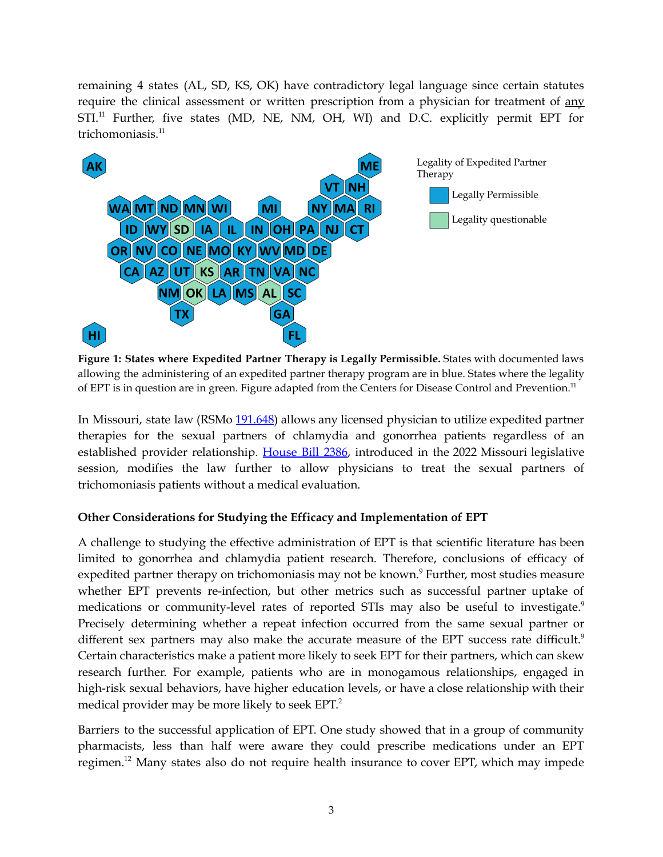remaining 4 states (AL, SD, KS, OK) have contradictory legal language since certain statutes require the clinical assessment or written prescription from a physician for treatment of any STI.<sup>11</sup> Further, five states (MD, NE, NM, OH, WI) and D.C. explicitly permit EPT for trichomoniasis. 11



**Figure 1: States where Expedited Partner Therapy is Legally Permissible.** States with documented laws allowing the administering of an expedited partner therapy program are in blue. States where the legality of EPT is in question are in green. Figure adapted from the Centers for Disease Control and Prevention.<sup>11</sup>

In Missouri, state law (RSMo [191.648](https://revisor.mo.gov/main/OneSection.aspx?section=191.648#:~:text=191.648.,for%20physicians%20utilizing%20%E2%80%94%20rulemaking%20authority.&text=Any%20licensed%20physician%20may%2C%20but,persons%20with%20chlamydia%20or%20gonorrhea.)) allows any licensed physician to utilize expedited partner therapies for the sexual partners of chlamydia and gonorrhea patients regardless of an established provider relationship. [House](https://house.mo.gov/Bill.aspx?bill=HB2386&year=2022&code=R) Bill 2386, introduced in the 2022 Missouri legislative session, modifies the law further to allow physicians to treat the sexual partners of trichomoniasis patients without a medical evaluation.

### **Other Considerations for Studying the Efficacy and Implementation of EPT**

A challenge to studying the effective administration of EPT is that scientific literature has been limited to gonorrhea and chlamydia patient research. Therefore, conclusions of efficacy of expedited partner therapy on trichomoniasis may not be known. <sup>9</sup> Further, most studies measure whether EPT prevents re-infection, but other metrics such as successful partner uptake of medications or community-level rates of reported STIs may also be useful to investigate. 9 Precisely determining whether a repeat infection occurred from the same sexual partner or different sex partners may also make the accurate measure of the EPT success rate difficult.<sup>9</sup> Certain characteristics make a patient more likely to seek EPT for their partners, which can skew research further. For example, patients who are in monogamous relationships, engaged in high-risk sexual behaviors, have higher education levels, or have a close relationship with their medical provider may be more likely to seek EPT. 2

Barriers to the successful application of EPT. One study showed that in a group of community pharmacists, less than half were aware they could prescribe medications under an EPT regimen.<sup>12</sup> Many states also do not require health insurance to cover EPT, which may impede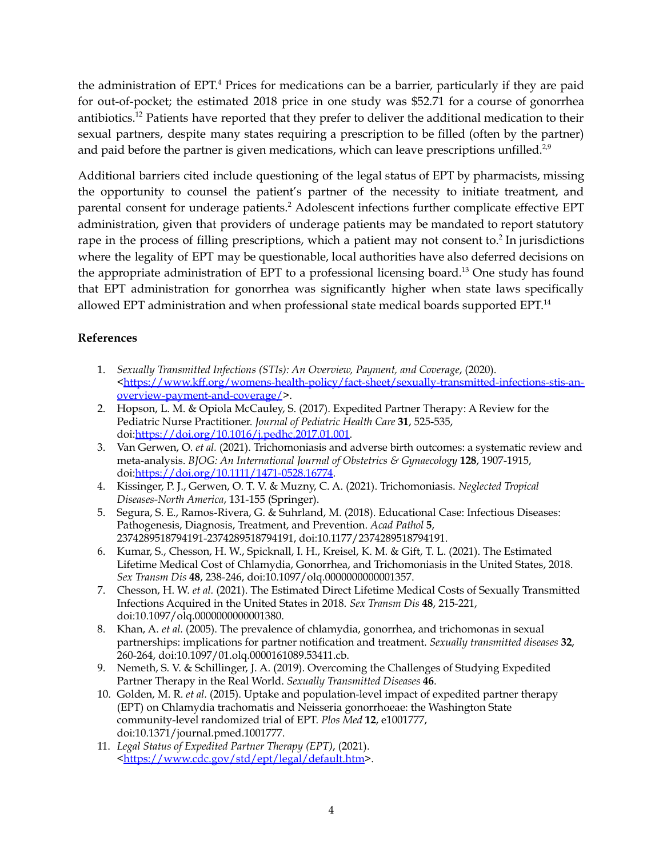the administration of EPT.<sup>4</sup> Prices for medications can be a barrier, particularly if they are paid for out-of-pocket; the estimated 2018 price in one study was \$52.71 for a course of gonorrhea antibiotics.<sup>12</sup> Patients have reported that they prefer to deliver the additional medication to their sexual partners, despite many states requiring a prescription to be filled (often by the partner) and paid before the partner is given medications, which can leave prescriptions unfilled. $^{2,9}$ 

Additional barriers cited include questioning of the legal status of EPT by pharmacists, missing the opportunity to counsel the patient's partner of the necessity to initiate treatment, and parental consent for underage patients. <sup>2</sup> Adolescent infections further complicate effective EPT administration, given that providers of underage patients may be mandated to report statutory rape in the process of filling prescriptions, which a patient may not consent to.<sup>2</sup> In jurisdictions where the legality of EPT may be questionable, local authorities have also deferred decisions on the appropriate administration of EPT to a professional licensing board. <sup>13</sup> One study has found that EPT administration for gonorrhea was significantly higher when state laws specifically allowed EPT administration and when professional state medical boards supported EPT.<sup>14</sup>

#### **References**

- 1. *Sexually Transmitted Infections (STIs): An Overview, Payment, and Coverage*, (2020). [<https://www.kff.org/womens-health-policy/fact-sheet/sexually-transmitted-infections-stis-an](https://www.kff.org/womens-health-policy/fact-sheet/sexually-transmitted-infections-stis-an-overview-payment-and-coverage/)[overview-payment-and-coverage/](https://www.kff.org/womens-health-policy/fact-sheet/sexually-transmitted-infections-stis-an-overview-payment-and-coverage/)>.
- 2. Hopson, L. M. & Opiola McCauley, S. (2017). Expedited Partner Therapy: A Review for the Pediatric Nurse Practitioner. *Journal of Pediatric Health Care* **31**, 525-535, doi:[https://doi.org/10.1016/j.pedhc.2017.01.001.](https://doi.org/10.1016/j.pedhc.2017.01.001)
- 3. Van Gerwen, O. *et al.* (2021). Trichomoniasis and adverse birth outcomes: a systematic review and meta-analysis. *BJOG: An International Journal of Obstetrics & Gynaecology* **128**, 1907-1915, doi:[https://doi.org/10.1111/1471-0528.16774.](https://doi.org/10.1111/1471-0528.16774)
- 4. Kissinger, P. J., Gerwen, O. T. V. & Muzny, C. A. (2021). Trichomoniasis. *Neglected Tropical Diseases-North America*, 131-155 (Springer).
- 5. Segura, S. E., Ramos-Rivera, G. & Suhrland, M. (2018). Educational Case: Infectious Diseases: Pathogenesis, Diagnosis, Treatment, and Prevention. *Acad Pathol* **5**, 2374289518794191-2374289518794191, doi:10.1177/2374289518794191.
- 6. Kumar, S., Chesson, H. W., Spicknall, I. H., Kreisel, K. M. & Gift, T. L. (2021). The Estimated Lifetime Medical Cost of Chlamydia, Gonorrhea, and Trichomoniasis in the United States, 2018. *Sex Transm Dis* **48**, 238-246, doi:10.1097/olq.0000000000001357.
- 7. Chesson, H. W. *et al.* (2021). The Estimated Direct Lifetime Medical Costs of Sexually Transmitted Infections Acquired in the United States in 2018. *Sex Transm Dis* **48**, 215-221, doi:10.1097/olq.0000000000001380.
- 8. Khan, A. *et al.* (2005). The prevalence of chlamydia, gonorrhea, and trichomonas in sexual partnerships: implications for partner notification and treatment. *Sexually transmitted diseases* **32**, 260-264, doi:10.1097/01.olq.0000161089.53411.cb.
- 9. Nemeth, S. V. & Schillinger, J. A. (2019). Overcoming the Challenges of Studying Expedited Partner Therapy in the Real World. *Sexually Transmitted Diseases* **46**.
- 10. Golden, M. R. *et al.* (2015). Uptake and population-level impact of expedited partner therapy (EPT) on Chlamydia trachomatis and Neisseria gonorrhoeae: the Washington State community-level randomized trial of EPT. *Plos Med* **12**, e1001777, doi:10.1371/journal.pmed.1001777.
- 11. *Legal Status of Expedited Partner Therapy (EPT)*, (2021). [<https://www.cdc.gov/std/ept/legal/default.htm>](https://www.cdc.gov/std/ept/legal/default.htm).